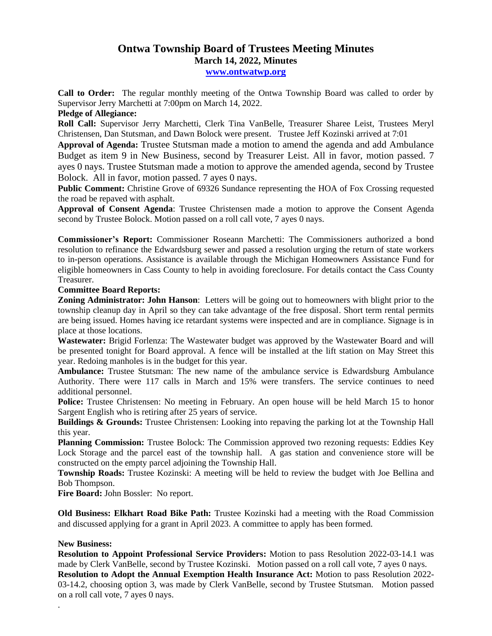## **Ontwa Township Board of Trustees Meeting Minutes March 14, 2022, Minutes**

**[www.ontwatwp.org](http://www.ontwatwp.org/)**

**Call to Order:** The regular monthly meeting of the Ontwa Township Board was called to order by Supervisor Jerry Marchetti at 7:00pm on March 14, 2022.

**Pledge of Allegiance:** 

**Roll Call:** Supervisor Jerry Marchetti, Clerk Tina VanBelle, Treasurer Sharee Leist, Trustees Meryl Christensen, Dan Stutsman, and Dawn Bolock were present. Trustee Jeff Kozinski arrived at 7:01

**Approval of Agenda:** Trustee Stutsman made a motion to amend the agenda and add Ambulance Budget as item 9 in New Business, second by Treasurer Leist. All in favor, motion passed. 7 ayes 0 nays. Trustee Stutsman made a motion to approve the amended agenda, second by Trustee Bolock. All in favor, motion passed. 7 ayes 0 nays.

**Public Comment:** Christine Grove of 69326 Sundance representing the HOA of Fox Crossing requested the road be repaved with asphalt.

**Approval of Consent Agenda**: Trustee Christensen made a motion to approve the Consent Agenda second by Trustee Bolock. Motion passed on a roll call vote, 7 ayes 0 nays.

**Commissioner's Report:** Commissioner Roseann Marchetti: The Commissioners authorized a bond resolution to refinance the Edwardsburg sewer and passed a resolution urging the return of state workers to in-person operations. Assistance is available through the Michigan Homeowners Assistance Fund for eligible homeowners in Cass County to help in avoiding foreclosure. For details contact the Cass County Treasurer.

## **Committee Board Reports:**

**Zoning Administrator: John Hanson**: Letters will be going out to homeowners with blight prior to the township cleanup day in April so they can take advantage of the free disposal. Short term rental permits are being issued. Homes having ice retardant systems were inspected and are in compliance. Signage is in place at those locations.

**Wastewater:** Brigid Forlenza: The Wastewater budget was approved by the Wastewater Board and will be presented tonight for Board approval. A fence will be installed at the lift station on May Street this year. Redoing manholes is in the budget for this year.

**Ambulance:** Trustee Stutsman: The new name of the ambulance service is Edwardsburg Ambulance Authority. There were 117 calls in March and 15% were transfers. The service continues to need additional personnel.

Police: Trustee Christensen: No meeting in February. An open house will be held March 15 to honor Sargent English who is retiring after 25 years of service.

**Buildings & Grounds:** Trustee Christensen: Looking into repaving the parking lot at the Township Hall this year.

**Planning Commission:** Trustee Bolock: The Commission approved two rezoning requests: Eddies Key Lock Storage and the parcel east of the township hall. A gas station and convenience store will be constructed on the empty parcel adjoining the Township Hall.

**Township Roads:** Trustee Kozinski: A meeting will be held to review the budget with Joe Bellina and Bob Thompson.

**Fire Board:** John Bossler: No report.

**Old Business: Elkhart Road Bike Path:** Trustee Kozinski had a meeting with the Road Commission and discussed applying for a grant in April 2023. A committee to apply has been formed.

## **New Business:**

.

**Resolution to Appoint Professional Service Providers:** Motion to pass Resolution 2022-03-14.1 was made by Clerk VanBelle, second by Trustee Kozinski. Motion passed on a roll call vote, 7 ayes 0 nays. **Resolution to Adopt the Annual Exemption Health Insurance Act:** Motion to pass Resolution 2022- 03-14.2, choosing option 3, was made by Clerk VanBelle, second by Trustee Stutsman. Motion passed on a roll call vote, 7 ayes 0 nays.